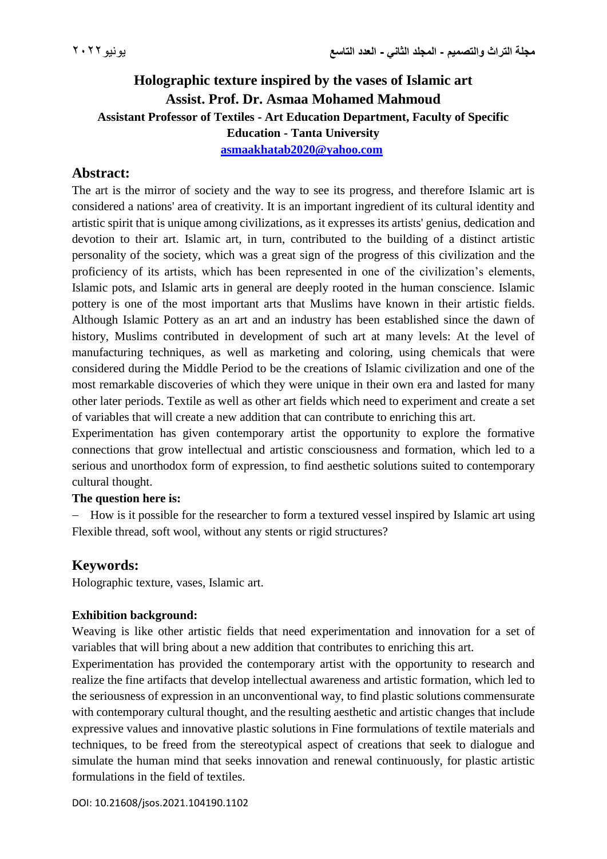# **Holographic texture inspired by the vases of Islamic art Assist. Prof. Dr. Asmaa Mohamed Mahmoud Assistant Professor of Textiles - Art Education Department, Faculty of Specific Education - Tanta University [asmaakhatab2020@yahoo.com](mailto:asmaakhatab2020@yahoo.com)**

## **Abstract:**

The art is the mirror of society and the way to see its progress, and therefore Islamic art is considered a nations' area of creativity. It is an important ingredient of its cultural identity and artistic spirit that is unique among civilizations, as it expresses its artists' genius, dedication and devotion to their art. Islamic art, in turn, contributed to the building of a distinct artistic personality of the society, which was a great sign of the progress of this civilization and the proficiency of its artists, which has been represented in one of the civilization's elements, Islamic pots, and Islamic arts in general are deeply rooted in the human conscience. Islamic pottery is one of the most important arts that Muslims have known in their artistic fields. Although Islamic Pottery as an art and an industry has been established since the dawn of history, Muslims contributed in development of such art at many levels: At the level of manufacturing techniques, as well as marketing and coloring, using chemicals that were considered during the Middle Period to be the creations of Islamic civilization and one of the most remarkable discoveries of which they were unique in their own era and lasted for many other later periods. Textile as well as other art fields which need to experiment and create a set of variables that will create a new addition that can contribute to enriching this art.

Experimentation has given contemporary artist the opportunity to explore the formative connections that grow intellectual and artistic consciousness and formation, which led to a serious and unorthodox form of expression, to find aesthetic solutions suited to contemporary cultural thought.

#### **The question here is:**

- How is it possible for the researcher to form a textured vessel inspired by Islamic art using Flexible thread, soft wool, without any stents or rigid structures?

## **Keywords:**

Holographic texture, vases, Islamic art.

### **Exhibition background:**

Weaving is like other artistic fields that need experimentation and innovation for a set of variables that will bring about a new addition that contributes to enriching this art.

Experimentation has provided the contemporary artist with the opportunity to research and realize the fine artifacts that develop intellectual awareness and artistic formation, which led to the seriousness of expression in an unconventional way, to find plastic solutions commensurate with contemporary cultural thought, and the resulting aesthetic and artistic changes that include expressive values and innovative plastic solutions in Fine formulations of textile materials and techniques, to be freed from the stereotypical aspect of creations that seek to dialogue and simulate the human mind that seeks innovation and renewal continuously, for plastic artistic formulations in the field of textiles.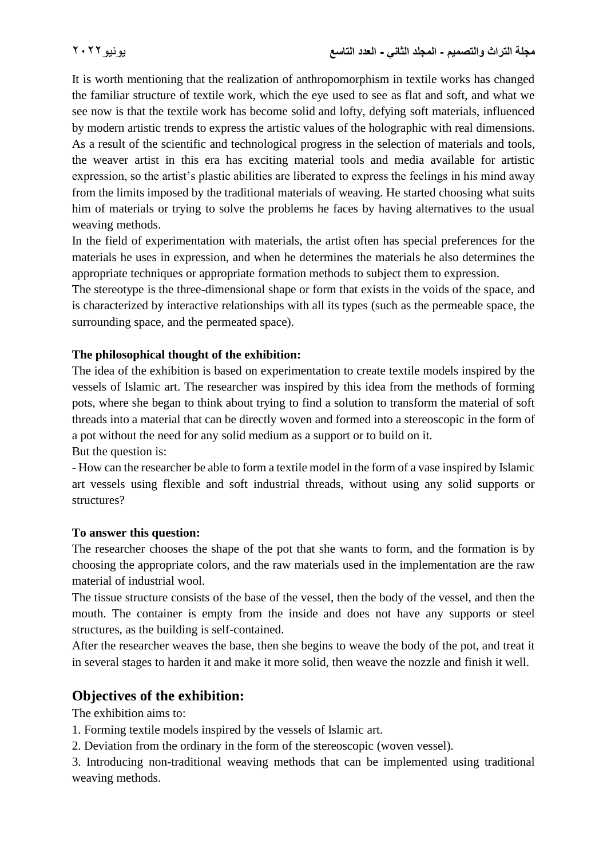It is worth mentioning that the realization of anthropomorphism in textile works has changed the familiar structure of textile work, which the eye used to see as flat and soft, and what we see now is that the textile work has become solid and lofty, defying soft materials, influenced by modern artistic trends to express the artistic values of the holographic with real dimensions. As a result of the scientific and technological progress in the selection of materials and tools, the weaver artist in this era has exciting material tools and media available for artistic expression, so the artist's plastic abilities are liberated to express the feelings in his mind away from the limits imposed by the traditional materials of weaving. He started choosing what suits him of materials or trying to solve the problems he faces by having alternatives to the usual weaving methods.

In the field of experimentation with materials, the artist often has special preferences for the materials he uses in expression, and when he determines the materials he also determines the appropriate techniques or appropriate formation methods to subject them to expression.

The stereotype is the three-dimensional shape or form that exists in the voids of the space, and is characterized by interactive relationships with all its types (such as the permeable space, the surrounding space, and the permeated space).

### **The philosophical thought of the exhibition:**

The idea of the exhibition is based on experimentation to create textile models inspired by the vessels of Islamic art. The researcher was inspired by this idea from the methods of forming pots, where she began to think about trying to find a solution to transform the material of soft threads into a material that can be directly woven and formed into a stereoscopic in the form of a pot without the need for any solid medium as a support or to build on it.

But the question is:

- How can the researcher be able to form a textile model in the form of a vase inspired by Islamic art vessels using flexible and soft industrial threads, without using any solid supports or structures?

#### **To answer this question:**

The researcher chooses the shape of the pot that she wants to form, and the formation is by choosing the appropriate colors, and the raw materials used in the implementation are the raw material of industrial wool.

The tissue structure consists of the base of the vessel, then the body of the vessel, and then the mouth. The container is empty from the inside and does not have any supports or steel structures, as the building is self-contained.

After the researcher weaves the base, then she begins to weave the body of the pot, and treat it in several stages to harden it and make it more solid, then weave the nozzle and finish it well.

## **Objectives of the exhibition:**

The exhibition aims to:

1. Forming textile models inspired by the vessels of Islamic art.

2. Deviation from the ordinary in the form of the stereoscopic (woven vessel).

3. Introducing non-traditional weaving methods that can be implemented using traditional weaving methods.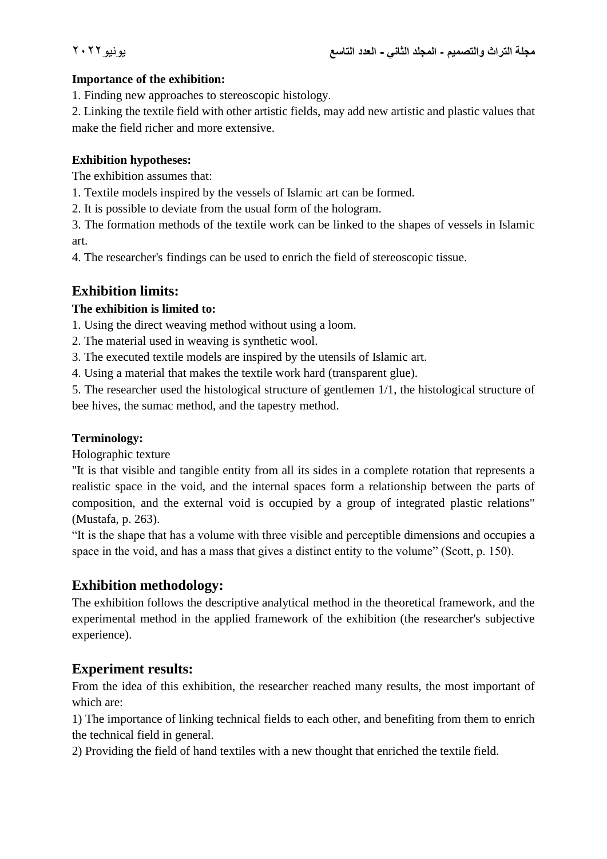#### **Importance of the exhibition:**

1. Finding new approaches to stereoscopic histology.

2. Linking the textile field with other artistic fields, may add new artistic and plastic values that make the field richer and more extensive.

#### **Exhibition hypotheses:**

The exhibition assumes that:

1. Textile models inspired by the vessels of Islamic art can be formed.

2. It is possible to deviate from the usual form of the hologram.

3. The formation methods of the textile work can be linked to the shapes of vessels in Islamic art.

4. The researcher's findings can be used to enrich the field of stereoscopic tissue.

## **Exhibition limits:**

### **The exhibition is limited to:**

1. Using the direct weaving method without using a loom.

2. The material used in weaving is synthetic wool.

3. The executed textile models are inspired by the utensils of Islamic art.

4. Using a material that makes the textile work hard (transparent glue).

5. The researcher used the histological structure of gentlemen 1/1, the histological structure of bee hives, the sumac method, and the tapestry method.

### **Terminology:**

Holographic texture

"It is that visible and tangible entity from all its sides in a complete rotation that represents a realistic space in the void, and the internal spaces form a relationship between the parts of composition, and the external void is occupied by a group of integrated plastic relations" (Mustafa, p. 263).

"It is the shape that has a volume with three visible and perceptible dimensions and occupies a space in the void, and has a mass that gives a distinct entity to the volume" (Scott, p. 150).

## **Exhibition methodology:**

The exhibition follows the descriptive analytical method in the theoretical framework, and the experimental method in the applied framework of the exhibition (the researcher's subjective experience).

## **Experiment results:**

From the idea of this exhibition, the researcher reached many results, the most important of which are:

1) The importance of linking technical fields to each other, and benefiting from them to enrich the technical field in general.

2) Providing the field of hand textiles with a new thought that enriched the textile field.